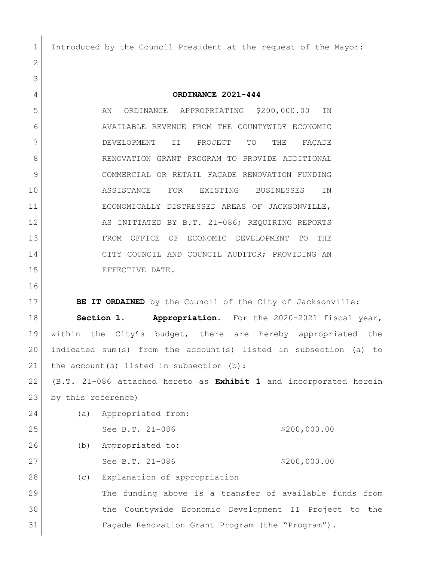Introduced by the Council President at the request of the Mayor:

 **ORDINANCE 2021-444** 5 AN ORDINANCE APPROPRIATING \$200,000.00 IN AVAILABLE REVENUE FROM THE COUNTYWIDE ECONOMIC DEVELOPMENT II PROJECT TO THE FAÇADE 8 RENOVATION GRANT PROGRAM TO PROVIDE ADDITIONAL COMMERCIAL OR RETAIL FAÇADE RENOVATION FUNDING ASSISTANCE FOR EXISTING BUSINESSES IN ECONOMICALLY DISTRESSED AREAS OF JACKSONVILLE, 12 AS INITIATED BY B.T. 21-086; REQUIRING REPORTS FROM OFFICE OF ECONOMIC DEVELOPMENT TO THE CITY COUNCIL AND COUNCIL AUDITOR; PROVIDING AN 15 EFFECTIVE DATE.

**BE IT ORDAINED** by the Council of the City of Jacksonville: **Section 1. Appropriation.** For the 2020-2021 fiscal year, within the City's budget, there are hereby appropriated the indicated sum(s) from the account(s) listed in subsection (a) to 21 | the account (s) listed in subsection  $(b)$ :

 (B.T. 21-086 attached hereto as **Exhibit 1** and incorporated herein by this reference)

| 24 | (a) | Appropriated from:                                      |  |
|----|-----|---------------------------------------------------------|--|
| 25 |     | \$200,000.00<br>See B.T. 21-086                         |  |
| 26 | (b) | Appropriated to:                                        |  |
| 27 |     | \$200,000.00<br>See B.T. 21-086                         |  |
| 28 | (C) | Explanation of appropriation                            |  |
| 29 |     | The funding above is a transfer of available funds from |  |
| 30 |     | the Countywide Economic Development II Project to the   |  |

Façade Renovation Grant Program (the "Program").